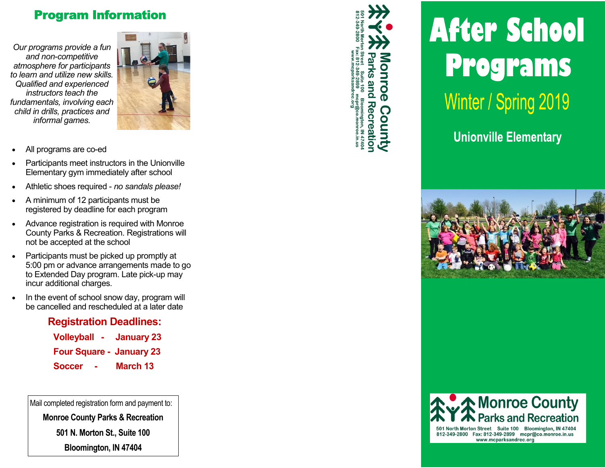## **Program Information**

Our programs provide a fun and non-competitive atmosphere for participants to learn and utilize new skills. Qualified and experienced instructors teach the fundamentals, involving each child in drills, practices and informal games.



- All programs are co-ed
- Participants meet instructors in the Unionville Elementary gym immediately after school
- Athletic shoes required no sandals please!
- A minimum of 12 participants must be registered by deadline for each program
- Advance registration is required with Monroe  $\bullet$ County Parks & Recreation. Registrations will not be accepted at the school
- Participants must be picked up promptly at 5:00 pm or advance arrangements made to go to Extended Day program. Late pick-up may incur additional charges.
- In the event of school snow day, program will  $\bullet$ be cancelled and rescheduled at a later date

## **Registration Deadlines:**

| <b>Volleyball</b><br>$\sim$     | <b>January 23</b> |
|---------------------------------|-------------------|
| <b>Four Square - January 23</b> |                   |
| Soccer<br>$\mathbf{r}$          | <b>March 13</b>   |

Mail completed registration form and payment to:

**Monroe County Parks & Recreation** 

501 N. Morton St., Suite 100

Bloomington, IN 47404



## **After School Programs** Winter / Spring 2019

**Unionville Elementary** 





501 North Morton Street Suite 100 Bloomington, IN 47404 812-349-2800 Fax: 812-349-2899 mcpr@co.monroe.in.us www.mcparksandrec.org